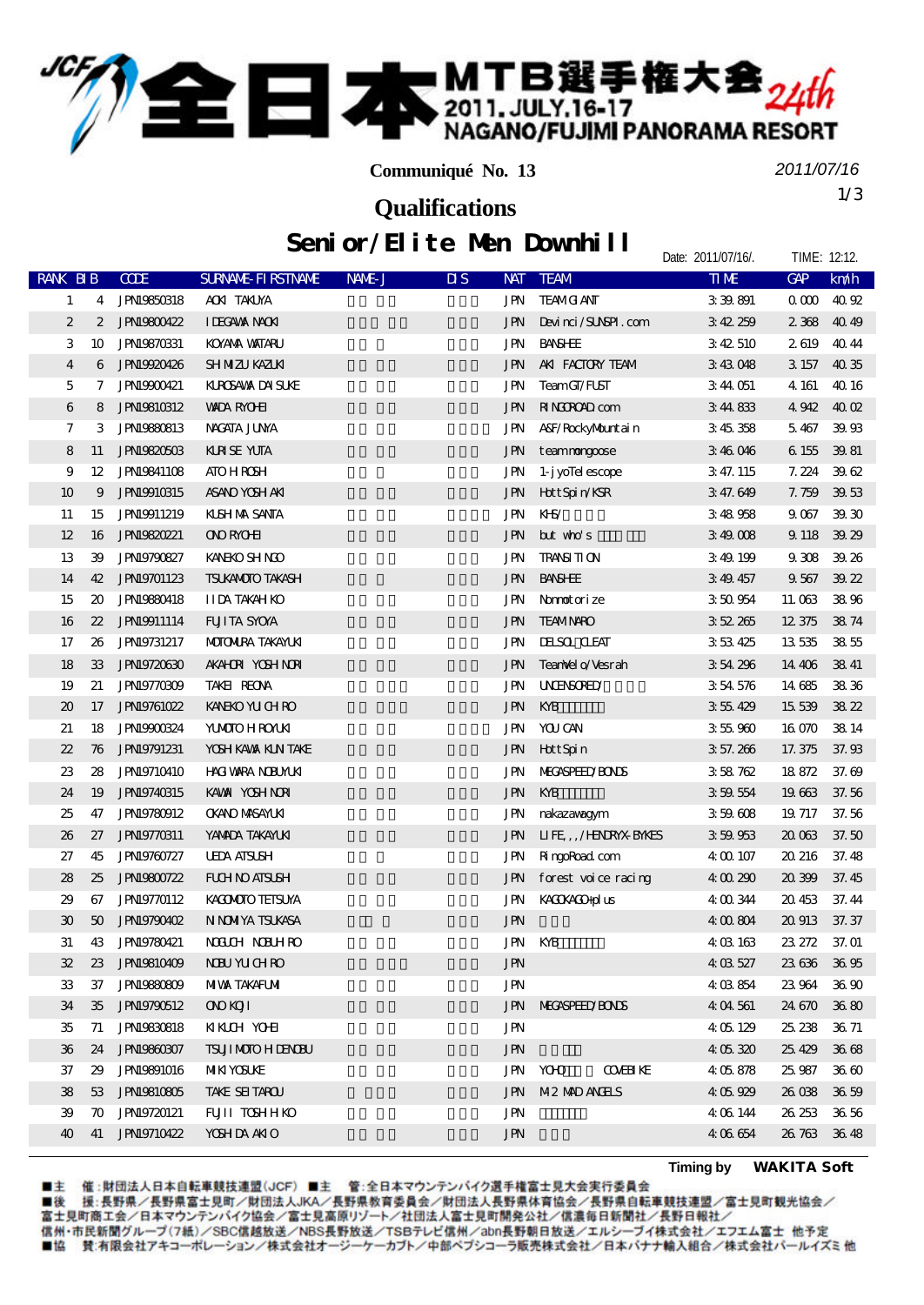## ■本 MTB選手権大会<sub>24th</sub>

**Communiqué No. 13**

*2011/07/16*

Date: 2011/07/16/. TIME: 12:12

1/3 **Qualifications**

## Senior/Elite Men Downhill

|                             |                  |                    |                            |        |                                         |                       |                           | $1.11$ $1.1$ $ -$ |             |
|-----------------------------|------------------|--------------------|----------------------------|--------|-----------------------------------------|-----------------------|---------------------------|-------------------|-------------|
| <b>RANK BIB</b>             |                  | <b>CODE</b>        | <b>SURVANE FI RSTIVANE</b> | NAME J | $\overline{\mathbf{u}}$ s<br><b>NAT</b> | <b>TEAM</b>           | <b>TIME</b>               | <b>GAP</b>        | km/h        |
| 1                           | 4                | <b>JPN19850318</b> | AONITAKUYA                 |        | JPN                                     | <b>TEAMO ANT</b>      | 339891                    | 000               | 40 92       |
| $\boldsymbol{2}$            | $\boldsymbol{2}$ | <b>JPN19800422</b> | <b>IDEGAVAX NACKI</b>      |        | JPN                                     | Devinci/SUNSPI.com    | 342259                    | 2368              | 4049        |
| 3                           | 10               | <b>JPN19870331</b> | <b>KOYAYA VAITARU</b>      |        | JPN                                     | <b>BANSHEE</b>        | 342510                    | 2619              | 4044        |
| 4                           | 6                | JPN19920426        | SH NIZU KAZUKI             |        | JPN                                     | AKI FACTORY TEAM      | 343048                    | 3 157             | 40 35       |
| 5                           | 7                | <b>JPNI9900421</b> | <b>KLROSAWA DAI SUKE</b>   |        | JPN                                     | TeamCT/FUST           | 344051                    | 4 161             | 4016        |
| 6                           | 8                | <b>JPN19810312</b> | <b>WADA RYOHI</b>          |        | JPN                                     | <b>NINGROAD</b> com   | 344833                    | 4942              | $40 \Omega$ |
| 7                           | 3                | <b>JPN19880813</b> | NACATA JUNA                |        | <b>JPN</b>                              | A&F/RockyMuntain      | 3 45 358                  | 5467              | 39.93       |
| 8                           | 11               | <b>JPNI9820503</b> | <b>KINSE YUTA</b>          |        | JPN                                     | teammongoose          | 346046                    | 6 155             | 39.81       |
| 9                           | 12               | <b>JPN19841108</b> | <b>ATO HROSH</b>           |        | JPN                                     | 1- j yollel escope    | 3 47. 115                 | 7.224             | 3962        |
| 10                          | 9                | <b>JPNI9910315</b> | ASANO YOSH AKI             |        | JPN                                     | Hott Spin/KSR         | 347.649                   | 7.759             | 39.53       |
| 11                          | 15               | <b>JPNI9911219</b> | <b>KISH NA SANTA</b>       |        | JPN                                     | KHS/                  | 348958                    | 9067              | 39 30       |
| 12                          | 16               | <b>JPN19820221</b> | ONOROHI                    |        | JPN                                     | $but$ who's           | 349008                    | 9 1 18            | 39.29       |
| 13                          | 39               | <b>JPN19790827</b> | <b>KANEKO SH NCO</b>       |        | JPN                                     | <b>TRANSI TI ON</b>   | 349.199                   | 9308              | 39.26       |
| 14                          | 42               | <b>JPN19701123</b> | TSUKANOTO TAKASH           |        | JPN                                     | <b>BANSHEE</b>        | 349457                    | 9567              | 39.22       |
| 15                          | 20               | <b>JPN19880418</b> | <b>IIDA TAKAH KO</b>       |        | JPN                                     | Normotorize           | 350954                    | 11.063            | 3896        |
| 16                          | $22\,$           | <b>JPNI9911114</b> | <b>FUITA SYOVA</b>         |        | JPN                                     | <b>TEAMNARO</b>       | 352265                    | 12 375            | 3874        |
| 17                          | 26               | <b>JPN19731217</b> | <b>MOTOMIRA TAKAYLKI</b>   |        | JPN                                     | <b>IHSOL CLEAT</b>    | 353425                    | 13535             | 3855        |
| 18                          | 33               | <b>JPN19720630</b> | <b>AKAHOR YOSH NOR</b>     |        | JPN                                     | TeanNel o/Vesrah      | 354296                    | 14 40 6           | 3841        |
| 19                          | 21               | <b>JPN19770309</b> | TAKEI REONA                |        | JPN                                     | <b>UNENSORED</b>      | 3 54 576                  | 14 685            | 3836        |
| $\boldsymbol{\mathfrak{D}}$ | 17               | <b>JPN19761022</b> | <b>KANEKO YU CH RO</b>     |        | JPN                                     | KYB                   | 355429                    | 15 539            | 3822        |
| 21                          | 18               | JPN19900824        | <b>YUMOTO H ROYUNI</b>     |        | JPN                                     | YOU CAN               | 355960                    | 16 070            | 38 14       |
| 22                          | 76               | <b>JPN19791231</b> | YOSH KAVAX KIN TAKE        |        | <b>JPN</b>                              | HottSpin              | 3 57.266                  | 17.375            | 37.98       |
| 23                          | 28               | <b>JPN19710410</b> | <b>HACI VARA NOBUMUKI</b>  |        | JPN                                     | <b>MECASPEED BONS</b> | 358762                    | 18872             | 37.69       |
| 24                          | 19               | <b>JPN19740315</b> | KAWA YOSHINORI             |        | JPN                                     | KYB                   | 359554                    | 19663             | 37.56       |
| 25                          | 47               | <b>JPN19780912</b> | <b>OKANO MASAYLKI</b>      |        | JPN                                     | nakazawagym           | 359608                    | 19 717            | 37.56       |
| 26                          | 27               | JPN19770311        | YANADA TAKAYUKI            |        | JPN                                     | LIFE,,/HENRYXBYNES    | 359953                    | 20 063            | 37.50       |
| 27                          | 45               | <b>JPN19760727</b> | <b>UEDA AISUSH</b>         |        | JPN                                     | RingoRoad com         | 4 00 107                  | 20 216            | 37.48       |
| 28                          | 25               | <b>JPN19800722</b> | <b>FUH NO ATSUSH</b>       |        | JPN                                     | forest voice racing   | 4 00 290                  | 20399             | 37.45       |
| 29                          | 67               | <b>JPN19770112</b> | KACMOTO TEISUYA            |        | JPN                                     | KACKACO-plus          | 4 00 344                  | 20.453            | 37.44       |
| $\mathfrak{D}$              | 50               | JPN19790402        | N NOMYA TSUKASA            |        | <b>JPN</b>                              |                       | 4 00 804                  | 20 913            | 37.37       |
| 31                          | 43               | <b>JPN19780421</b> | NOUCH NORTHRO              |        | JPN                                     | KYB                   | 4 03 163                  | 23.272            | 37.01       |
| 32                          | 23 <sub>o</sub>  | <b>JPN19810409</b> | <b>NBU YUCHRO</b>          |        | JPN                                     |                       | 4 03 527                  | 23636 3695        |             |
| 33                          | 37               | <b>JPN19880809</b> | <b>MIVA TAKAFUMI</b>       |        | <b>JPN</b>                              |                       | 4 03 854                  | 23964             | 3690        |
| 34                          | 35               | <b>JPN19790512</b> | <b>ONDI</b>                |        | JPN                                     | <b>NECASPEED BONS</b> | 404561                    | 24.670            | 3680        |
| 35                          | 71               | <b>JPNI9830818</b> | <b>KKCH YOHI</b>           |        | <b>JPN</b>                              |                       | 4 05 129                  | 25.238            | 36.71       |
| 36                          | 24               | <b>JPN19860807</b> | <b>TSUJI MOTO H LENCEU</b> |        | <b>JPN</b>                              |                       | 4 05 320                  | 25.429            | 3668        |
| 37                          | 29               | <b>JPNI9891016</b> | MIKI YOSUKE                |        | JPN                                     | <b>YOO</b>            | <b>COVERITY</b><br>405878 | 25 987            | 36 60       |
| 38                          | 53               | <b>JPN19810805</b> | TAKE SEITAROU              |        | JPN                                     | M2 MD ANELS           | 405929                    | 26 038            | 36.59       |
| 39                          | 70               | <b>JPN19720121</b> | <b>FUJII TOSHHKO</b>       |        | <b>JPN</b>                              |                       | 4 06 144                  | 26 253            | 36 56       |
| 40                          | 41               | <b>JPN19710422</b> | <b>YOSHDA ANIO</b>         |        | JPN                                     |                       | 406654                    | 26.763            | 3648        |
|                             |                  |                    |                            |        |                                         |                       |                           |                   |             |

■主 催 :財団法人日本自転車競技連盟(JCF)■主 管 :全日本マウンテンバイク選手権富士見大会実行委員会<br>■後 援:長野県/長野県富士見町/財団法人JKA/長野県教育委員会/財団法人長野県体育協会/長野県自転車競技連盟/富士見町観光協会/<br>富士見町商工会/日本マウンテンバイク協会/富士見高原リゾート/社団法人富士見町開発公社/信濃毎日新聞社/長野日報社/ 信州·市民新聞グループ(7紙)/SBC信越放送/NBS長野放送/TSBテレビ信州/abn長野朝日放送/エルシーブイ株式会社/エフエム富士 他予定 ■協 賛:有限会社アキコーポレーション/株式会社オージーケーカブト/中部ペプシコーラ販売株式会社/日本バナナ輸入組合/株式会社パールイズミ他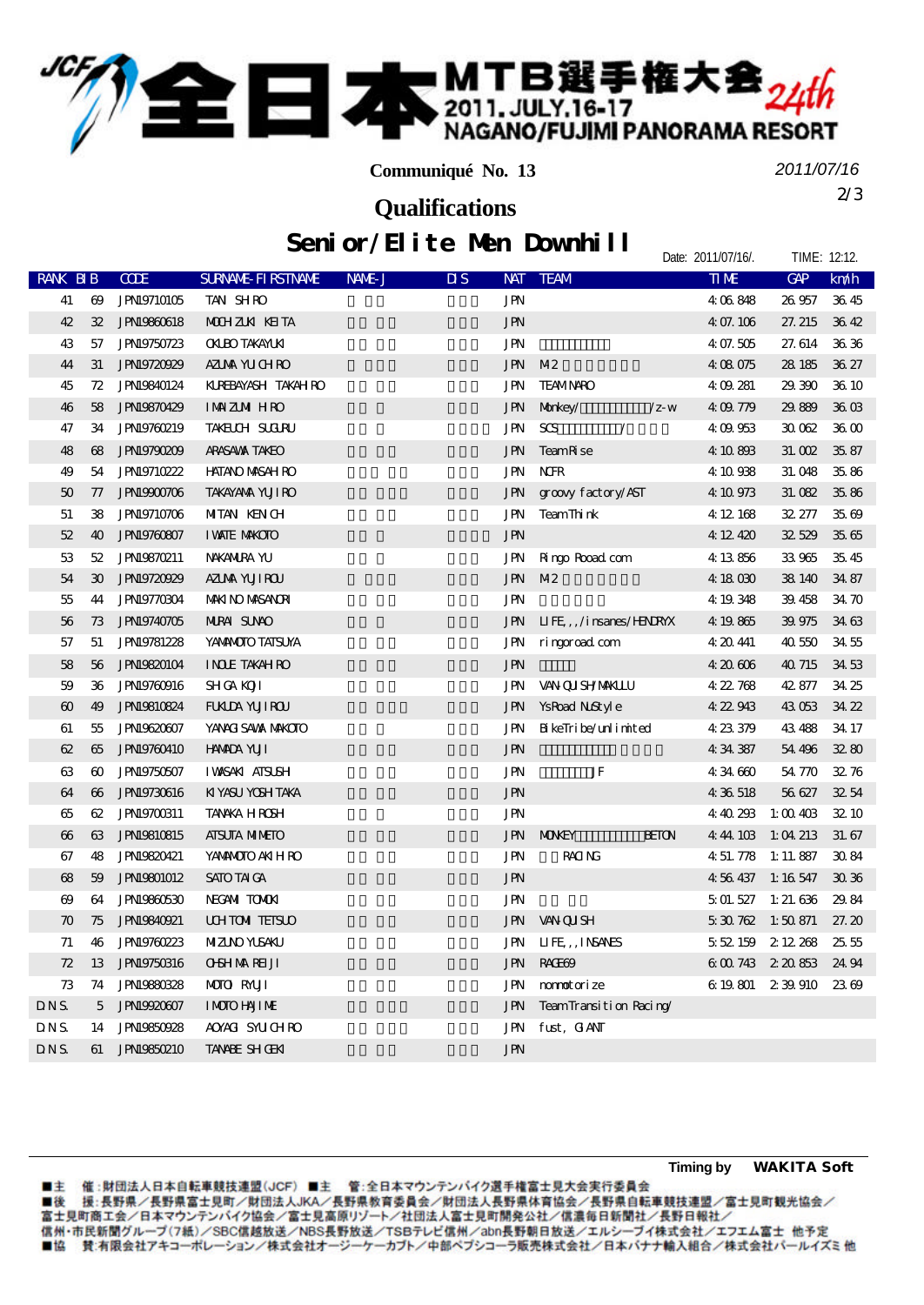## ■本 MTB選手権大会<sub>24th</sub>

**Communiqué No. 13**

*2011/07/16*

Date: 2011/07/16/. TIME: 12:12.

2/3 **Qualifications**

Senior/Elite Men Downhill

| <b>RANK BIB</b>       |                       | <b>CODE</b>        | <b>SURVANE FI RSTIVANE</b> | NAME J | $\overline{\mathbf{u}}$ s | <b>NAT</b>                         | <b>TEAM</b>                        |                | <b>TIME</b>       | GAP                 | km/h              |
|-----------------------|-----------------------|--------------------|----------------------------|--------|---------------------------|------------------------------------|------------------------------------|----------------|-------------------|---------------------|-------------------|
| 41                    | $\boldsymbol{\omega}$ | <b>JPN19710105</b> | TAN SHRO                   |        |                           | JPN                                |                                    |                | 4 06 848          | 26 957              | 3645              |
| 42                    | 32                    | <b>JPN19860618</b> | <b>MOHZKK KEITA</b>        |        |                           | <b>JPN</b>                         |                                    |                | 4 07.106          | 27.215              | 3642              |
| 43                    | 57                    | <b>JPN19750723</b> | <b>OKLEO TAKAYLKI</b>      |        |                           | <b>JPN</b>                         |                                    |                | 4 07.505          | 27.614              | 36.36             |
| 44                    | 31                    | JPN19720929        | AZUAA YU CHRO              |        |                           | $\mathbf{J}\mathbf{P}\!\mathbf{N}$ | M <sub>2</sub>                     |                | 4 08 075          | 28 18 5             | 36.27             |
| 45                    | 72                    | <b>JPN19840124</b> | KUREBAYASH TAKAH RO        |        |                           | <b>JPN</b>                         | <b>TEAMNARO</b>                    |                | 4 09 281          | 29 300              | 36 10             |
| 46                    | 58                    | <b>JPN19870429</b> | <b>IMMZMIHRO</b>           |        |                           | <b>JPN</b>                         | Morkey/                            | $\sqrt{z}$ - W | 409779            | 29.889              | 36 O <sub>3</sub> |
| 47                    | 34                    | JPN19760219        | <b>TAKELCH SUCIRU</b>      |        |                           | <b>JPN</b>                         | $S\!G$<br>$\overline{\phantom{a}}$ |                | 409953            | 30 062              | 36 CO             |
| 48                    | 68                    | JPN19790209        | ARASAWA TAKEO              |        |                           | <b>JPN</b>                         | Team <sub>R</sub> se               |                | 4 10 888          | 31.002              | 35.87             |
| 49                    | 54                    | <b>JPN19710222</b> | <b>HATANO MASAH RO</b>     |        |                           | <b>JPN</b>                         | <b>NH</b>                          |                | 4 10 938          | 31,048              | 35.86             |
| 50                    | 77                    | JPN19900706        | <b>TAKAYANA YUJI RO</b>    |        |                           | <b>JPN</b>                         | groovy factory/AST                 |                | 4 10 973          | 31.082              | 3586              |
| 51                    | 38                    | <b>JPN19710706</b> | <b>MIAN KENCH</b>          |        |                           | JPN                                | TeamThink                          |                | 4 12 168          | 32.277              | 35.69             |
| 52                    | 40                    | <b>JPN19760807</b> | <b>I VANIE MAKCIO</b>      |        |                           | <b>JPN</b>                         |                                    |                | 4 12 420          | 32529               | 3565              |
| 53                    | 52                    | <b>JPN19870211</b> | NAKANIRA YU                |        |                           | JPN                                | Ringo Road com                     |                | 4 13 856          | 33965               | 3545              |
| 54                    | 30                    | <b>JPN19720929</b> | AZIMA YUJIROU              |        |                           | <b>JPN</b>                         | M <sub>2</sub>                     |                | 4 18 030          | 38 140              | 34 87             |
| 55                    | 44                    | <b>JPN19770304</b> | <b>MAKI NO MASANORI</b>    |        |                           | <b>JPN</b>                         |                                    |                | 4 19 348          | 39.458              | 34 70             |
| 56                    | 73                    | <b>JPN19740705</b> | <b>NIRAI SUNO</b>          |        |                           | <b>JPN</b>                         | LIFE,, /insanes/HENRYX             |                | 4 19 865          | 39.975              | 34 63             |
| 57                    | 51                    | <b>JPN19781228</b> | YANNOTO TATSUYA            |        |                           | JPN                                | ringeread com                      |                | 4 20 441          | 40550               | 3455              |
| 58                    | 56                    | <b>JPN19820104</b> | <b>INDE TAKAHRO</b>        |        |                           | <b>JPN</b>                         |                                    |                | 4 20 606          | 40 715              | 34 53             |
| 59                    | 36                    | <b>JPN19780916</b> | <b>SHICA KOTI</b>          |        |                           | <b>JPN</b>                         | <b>VAN QUISHYMAKLLU</b>            |                | 422 768           | 42.877              | 34 25             |
| $\boldsymbol{\omega}$ | 49                    | <b>JPNI9810824</b> | <b>FUALDA YUJI ROU</b>     |        |                           | <b>JPN</b>                         | YsRoad NoStyle                     |                | 4 22 943          | 43053               | 34 22             |
| 61                    | 55                    | <b>JPN19620607</b> | YANACI SAWA MAKCIO         |        |                           | <b>JPN</b>                         | $\mathbf B$ ke<br>Tri be/unlimited |                | 4 23 379          | 43 488              | 34 17             |
| 62                    | 65                    | <b>JPN19760410</b> | <b>HAMDA YUII</b>          |        |                           | <b>JPN</b>                         |                                    |                | 4 34 387          | 54 496              | 3280              |
| 63                    | $\boldsymbol{\omega}$ | <b>JPN19750507</b> | <b>I WASAKI ATSUSH</b>     |        |                           | <b>JPN</b>                         | $\rm{JF}$                          |                | 434660            | 54 770              | 3276              |
| 64                    | $\boldsymbol{\omega}$ | <b>JPN19730616</b> | KIYASU YOSH TAKA           |        |                           | <b>JPN</b>                         |                                    |                | 4 36 518          | 56 627              | 3254              |
| 65                    | 62                    | <b>JPNI9700311</b> | <b>TANKA HROSH</b>         |        |                           | <b>JPN</b>                         |                                    |                | 440293            | 1:00403             | 32 10             |
| $\boldsymbol{\omega}$ | 63                    | <b>JPNI9810815</b> | <b>AISUIA MIMEIO</b>       |        |                           | <b>JPN</b>                         | <b>MONEY</b>                       | <b>HEION</b>   | 4 44 103          | 1:04213             | 31.67             |
| 67                    | 48                    | <b>JPN19820421</b> | YANANOTO AKIH RO           |        |                           | <b>JPN</b>                         | <b>RACING</b>                      |                | 4 51, 778         | 1:11.887            | 3084              |
| 68                    | 59                    | <b>JPNI9801012</b> | SATO TAI GA                |        |                           | <b>JPN</b>                         |                                    |                | 4 56 437          | $1:16\,547$         | 3036              |
| $\boldsymbol{\omega}$ | 64                    | <b>JPN19860530</b> | NECANI TOMOKI              |        |                           | JPN                                |                                    |                |                   | $501.527$ 1: 21.636 | 29.84             |
| $\boldsymbol{\pi}$    | 75                    | <b>JPN19840921</b> | <b>UHTOM TEISLO</b>        |        |                           | <b>JPN</b>                         | <b>VAN QUISH</b>                   |                | $530762$ 1:50 871 |                     | 27.20             |
| 71                    | 46                    | <b>JPN19760223</b> | <b>MIZINO YUSAKU</b>       |        |                           | JPN                                | LIFE, INSANES                      |                | 5 52 159          | 2 12 268            | 2555              |
| 72                    | 13                    | <b>JPN19750316</b> | <b>OSHMARELI</b>           |        |                           | <b>JPN</b>                         | RACE69                             |                |                   | 6 00 743 2 20 853   | 24 94             |
| 73                    | 74                    | <b>JPN19880328</b> | <b>MOTO RMUI</b>           |        |                           | JPN                                | monotorize                         |                |                   | 6 19 801 2 39 910   | 2369              |
| DNS.                  | 5                     | JPN19920607        | <b>IMOIO HAJIME</b>        |        |                           | <b>JPN</b>                         | TeamTransition Racing/             |                |                   |                     |                   |
| <b>DNS</b>            | 14                    | <b>JPN19850928</b> | AOXACI SYLICH RO           |        |                           | <b>JPN</b>                         | fust, GANT                         |                |                   |                     |                   |
| <b>DNS</b>            | 61                    | <b>JPNI9850210</b> | <b>TANNE SHOEK</b>         |        |                           | <b>JPN</b>                         |                                    |                |                   |                     |                   |

■主 催 :財団法人日本自転車競技連盟(JCF)■主 管:全日本マウンテンバイク選手権富士見大会実行委員会<br>■後 援:長野県/長野県富士見町/財団法人JKA/長野県教育委員会/財団法人長野県体育協会/長野県自転車競技連盟/富士見町観光協会/<br>富士見町商工会/日本マウンテンバイク協会/富士見高原リゾート/社団法人富士見町開発公社/信濃毎日新聞社/長野日報社/ 信州·市民新聞グループ(7紙)/SBC信越放送/NBS長野放送/TSBテレビ信州/abn長野朝日放送/エルシーブイ株式会社/エフエム富士 他予定 ■協 賛:有限会社アキコーポレーション/株式会社オージーケーカブト/中部ペプシコーラ販売株式会社/日本バナナ輸入組合/株式会社パールイズミ他